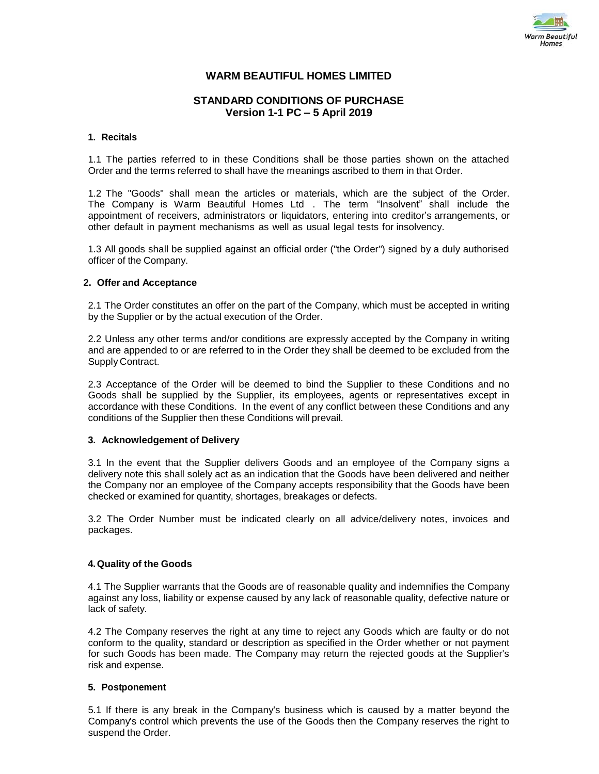

# **WARM BEAUTIFUL HOMES LIMITED**

# **STANDARD CONDITIONS OF PURCHASE Version 1-1 PC – 5 April 2019**

#### **1. Recitals**

1.1 The parties referred to in these Conditions shall be those parties shown on the attached Order and the terms referred to shall have the meanings ascribed to them in that Order.

1.2 The "Goods" shall mean the articles or materials, which are the subject of the Order. The Company is Warm Beautiful Homes Ltd . The term "Insolvent" shall include the appointment of receivers, administrators or liquidators, entering into creditor's arrangements, or other default in payment mechanisms as well as usual legal tests for insolvency.

1.3 All goods shall be supplied against an official order ("the Order") signed by a duly authorised officer of the Company.

#### **2. Offer and Acceptance**

2.1 The Order constitutes an offer on the part of the Company, which must be accepted in writing by the Supplier or by the actual execution of the Order.

2.2 Unless any other terms and/or conditions are expressly accepted by the Company in writing and are appended to or are referred to in the Order they shall be deemed to be excluded from the Supply Contract.

2.3 Acceptance of the Order will be deemed to bind the Supplier to these Conditions and no Goods shall be supplied by the Supplier, its employees, agents or representatives except in accordance with these Conditions. In the event of any conflict between these Conditions and any conditions of the Supplier then these Conditions will prevail.

### **3. Acknowledgement of Delivery**

3.1 In the event that the Supplier delivers Goods and an employee of the Company signs a delivery note this shall solely act as an indication that the Goods have been delivered and neither the Company nor an employee of the Company accepts responsibility that the Goods have been checked or examined for quantity, shortages, breakages or defects.

3.2 The Order Number must be indicated clearly on all advice/delivery notes, invoices and packages.

### **4.Quality of the Goods**

4.1 The Supplier warrants that the Goods are of reasonable quality and indemnifies the Company against any loss, liability or expense caused by any lack of reasonable quality, defective nature or lack of safety.

4.2 The Company reserves the right at any time to reject any Goods which are faulty or do not conform to the quality, standard or description as specified in the Order whether or not payment for such Goods has been made. The Company may return the rejected goods at the Supplier's risk and expense.

### **5. Postponement**

5.1 If there is any break in the Company's business which is caused by a matter beyond the Company's control which prevents the use of the Goods then the Company reserves the right to suspend the Order.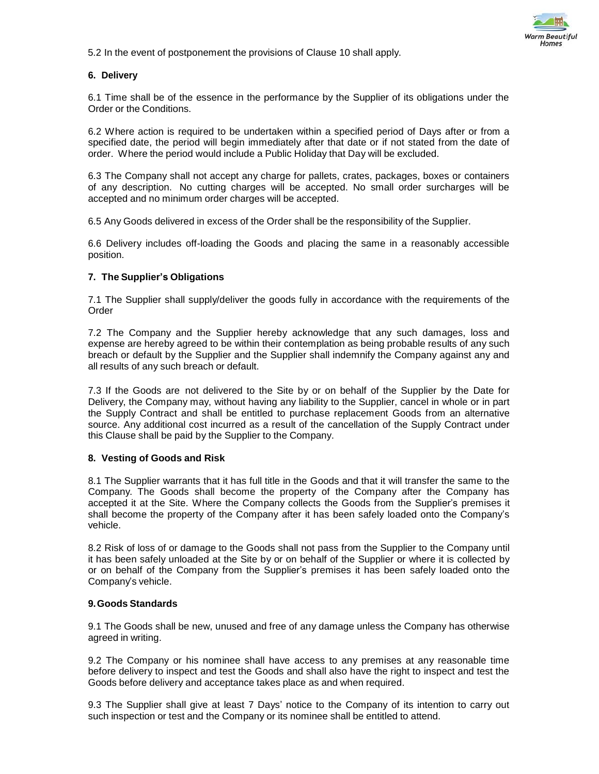

5.2 In the event of postponement the provisions of Clause 10 shall apply.

## **6. Delivery**

6.1 Time shall be of the essence in the performance by the Supplier of its obligations under the Order or the Conditions.

6.2 Where action is required to be undertaken within a specified period of Days after or from a specified date, the period will begin immediately after that date or if not stated from the date of order. Where the period would include a Public Holiday that Day will be excluded.

6.3 The Company shall not accept any charge for pallets, crates, packages, boxes or containers of any description. No cutting charges will be accepted. No small order surcharges will be accepted and no minimum order charges will be accepted.

6.5 Any Goods delivered in excess of the Order shall be the responsibility of the Supplier.

6.6 Delivery includes off-loading the Goods and placing the same in a reasonably accessible position.

## **7. The Supplier's Obligations**

7.1 The Supplier shall supply/deliver the goods fully in accordance with the requirements of the Order

7.2 The Company and the Supplier hereby acknowledge that any such damages, loss and expense are hereby agreed to be within their contemplation as being probable results of any such breach or default by the Supplier and the Supplier shall indemnify the Company against any and all results of any such breach or default.

7.3 If the Goods are not delivered to the Site by or on behalf of the Supplier by the Date for Delivery, the Company may, without having any liability to the Supplier, cancel in whole or in part the Supply Contract and shall be entitled to purchase replacement Goods from an alternative source. Any additional cost incurred as a result of the cancellation of the Supply Contract under this Clause shall be paid by the Supplier to the Company.

### **8. Vesting of Goods and Risk**

8.1 The Supplier warrants that it has full title in the Goods and that it will transfer the same to the Company. The Goods shall become the property of the Company after the Company has accepted it at the Site. Where the Company collects the Goods from the Supplier's premises it shall become the property of the Company after it has been safely loaded onto the Company's vehicle.

8.2 Risk of loss of or damage to the Goods shall not pass from the Supplier to the Company until it has been safely unloaded at the Site by or on behalf of the Supplier or where it is collected by or on behalf of the Company from the Supplier's premises it has been safely loaded onto the Company's vehicle.

### **9.Goods Standards**

9.1 The Goods shall be new, unused and free of any damage unless the Company has otherwise agreed in writing.

9.2 The Company or his nominee shall have access to any premises at any reasonable time before delivery to inspect and test the Goods and shall also have the right to inspect and test the Goods before delivery and acceptance takes place as and when required.

9.3 The Supplier shall give at least 7 Days' notice to the Company of its intention to carry out such inspection or test and the Company or its nominee shall be entitled to attend.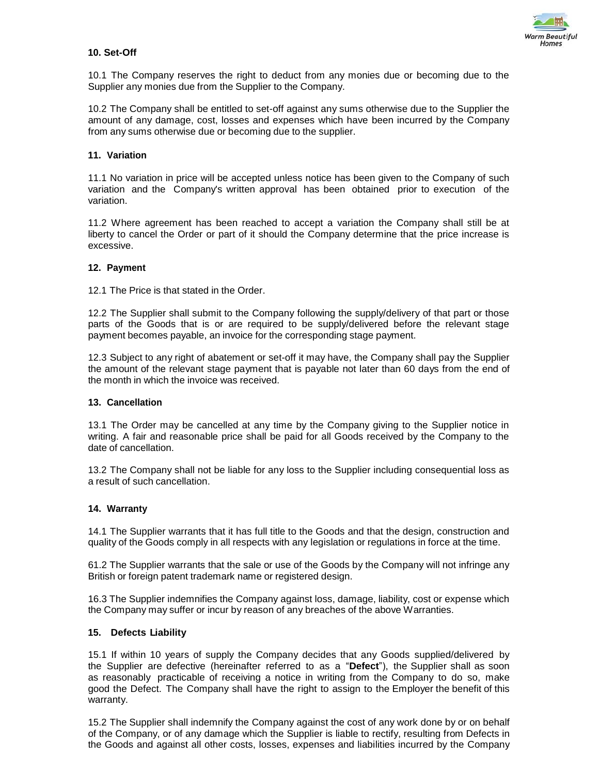

## **10. Set-Off**

10.1 The Company reserves the right to deduct from any monies due or becoming due to the Supplier any monies due from the Supplier to the Company.

10.2 The Company shall be entitled to set-off against any sums otherwise due to the Supplier the amount of any damage, cost, losses and expenses which have been incurred by the Company from any sums otherwise due or becoming due to the supplier.

## **11. Variation**

11.1 No variation in price will be accepted unless notice has been given to the Company of such variation and the Company's written approval has been obtained prior to execution of the variation.

11.2 Where agreement has been reached to accept a variation the Company shall still be at liberty to cancel the Order or part of it should the Company determine that the price increase is excessive.

### **12. Payment**

12.1 The Price is that stated in the Order.

12.2 The Supplier shall submit to the Company following the supply/delivery of that part or those parts of the Goods that is or are required to be supply/delivered before the relevant stage payment becomes payable, an invoice for the corresponding stage payment.

12.3 Subject to any right of abatement or set-off it may have, the Company shall pay the Supplier the amount of the relevant stage payment that is payable not later than 60 days from the end of the month in which the invoice was received.

### **13. Cancellation**

13.1 The Order may be cancelled at any time by the Company giving to the Supplier notice in writing. A fair and reasonable price shall be paid for all Goods received by the Company to the date of cancellation.

13.2 The Company shall not be liable for any loss to the Supplier including consequential loss as a result of such cancellation.

### **14. Warranty**

14.1 The Supplier warrants that it has full title to the Goods and that the design, construction and quality of the Goods comply in all respects with any legislation or regulations in force at the time.

61.2 The Supplier warrants that the sale or use of the Goods by the Company will not infringe any British or foreign patent trademark name or registered design.

16.3 The Supplier indemnifies the Company against loss, damage, liability, cost or expense which the Company may suffer or incur by reason of any breaches of the above Warranties.

### **15. Defects Liability**

15.1 If within 10 years of supply the Company decides that any Goods supplied/delivered by the Supplier are defective (hereinafter referred to as a "**Defect**"), the Supplier shall as soon as reasonably practicable of receiving a notice in writing from the Company to do so, make good the Defect. The Company shall have the right to assign to the Employer the benefit of this warranty.

15.2 The Supplier shall indemnify the Company against the cost of any work done by or on behalf of the Company, or of any damage which the Supplier is liable to rectify, resulting from Defects in the Goods and against all other costs, losses, expenses and liabilities incurred by the Company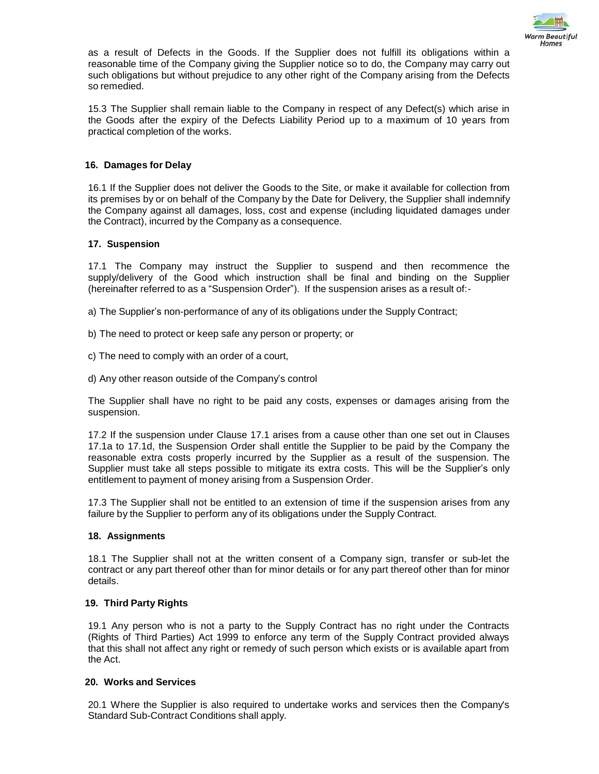

as a result of Defects in the Goods. If the Supplier does not fulfill its obligations within a reasonable time of the Company giving the Supplier notice so to do, the Company may carry out such obligations but without prejudice to any other right of the Company arising from the Defects so remedied.

15.3 The Supplier shall remain liable to the Company in respect of any Defect(s) which arise in the Goods after the expiry of the Defects Liability Period up to a maximum of 10 years from practical completion of the works.

## **16. Damages for Delay**

16.1 If the Supplier does not deliver the Goods to the Site, or make it available for collection from its premises by or on behalf of the Company by the Date for Delivery, the Supplier shall indemnify the Company against all damages, loss, cost and expense (including liquidated damages under the Contract), incurred by the Company as a consequence.

### **17. Suspension**

17.1 The Company may instruct the Supplier to suspend and then recommence the supply/delivery of the Good which instruction shall be final and binding on the Supplier (hereinafter referred to as a "Suspension Order"). If the suspension arises as a result of:-

a) The Supplier's non-performance of any of its obligations under the Supply Contract;

- b) The need to protect or keep safe any person or property; or
- c) The need to comply with an order of a court,
- d) Any other reason outside of the Company's control

The Supplier shall have no right to be paid any costs, expenses or damages arising from the suspension.

17.2 If the suspension under Clause 17.1 arises from a cause other than one set out in Clauses 17.1a to 17.1d, the Suspension Order shall entitle the Supplier to be paid by the Company the reasonable extra costs properly incurred by the Supplier as a result of the suspension. The Supplier must take all steps possible to mitigate its extra costs. This will be the Supplier's only entitlement to payment of money arising from a Suspension Order.

17.3 The Supplier shall not be entitled to an extension of time if the suspension arises from any failure by the Supplier to perform any of its obligations under the Supply Contract.

### **18. Assignments**

18.1 The Supplier shall not at the written consent of a Company sign, transfer or sub-let the contract or any part thereof other than for minor details or for any part thereof other than for minor details.

### **19. Third Party Rights**

19.1 Any person who is not a party to the Supply Contract has no right under the Contracts (Rights of Third Parties) Act 1999 to enforce any term of the Supply Contract provided always that this shall not affect any right or remedy of such person which exists or is available apart from the Act.

## **20. Works and Services**

20.1 Where the Supplier is also required to undertake works and services then the Company's Standard Sub-Contract Conditions shall apply.